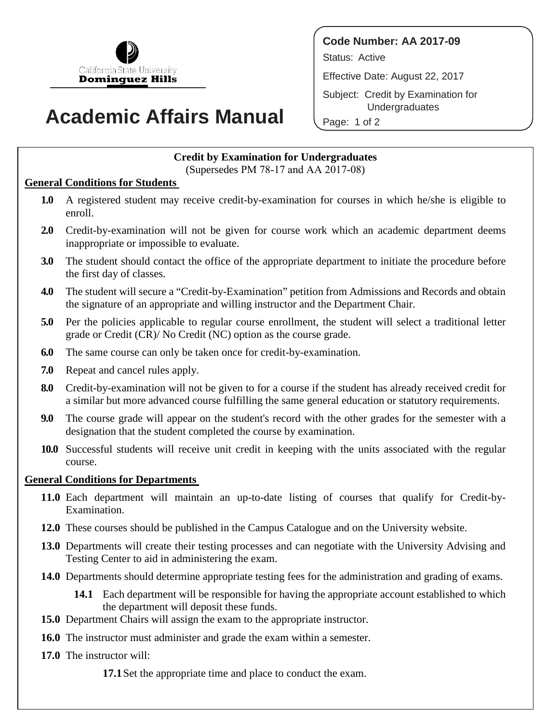

# **Academic Affairs Manual**

**Code Number: AA 2017-09** Status: Active Effective Date: August 22, 2017 Subject: Credit by Examination for Undergraduates

Page: 1 of 2

## **Credit by Examination for Undergraduates**

(Supersedes PM 78-17 and AA 2017-08)

#### **General Conditions for Students**

- **1.0** A registered student may receive credit-by-examination for courses in which he/she is eligible to enroll.
- **2.0** Credit-by-examination will not be given for course work which an academic department deems inappropriate or impossible to evaluate.
- **3.0** The student should contact the office of the appropriate department to initiate the procedure before the first day of classes.
- **4.0** The student will secure a "Credit-by-Examination" petition from Admissions and Records and obtain the signature of an appropriate and willing instructor and the Department Chair.
- **5.0** Per the policies applicable to regular course enrollment, the student will select a traditional letter grade or Credit (CR)/ No Credit (NC) option as the course grade.
- **6.0** The same course can only be taken once for credit-by-examination.
- **7.0** Repeat and cancel rules apply.
- **8.0** Credit-by-examination will not be given to for a course if the student has already received credit for a similar but more advanced course fulfilling the same general education or statutory requirements.
- **9.0** The course grade will appear on the student's record with the other grades for the semester with a designation that the student completed the course by examination.
- **10.0** Successful students will receive unit credit in keeping with the units associated with the regular course.

### **General Conditions for Departments**

- **11.0** Each department will maintain an up-to-date listing of courses that qualify for Credit-by-Examination.
- **12.0** These courses should be published in the Campus Catalogue and on the University website.
- **13.0** Departments will create their testing processes and can negotiate with the University Advising and Testing Center to aid in administering the exam.
- **14.0** Departments should determine appropriate testing fees for the administration and grading of exams.
	- **14.1** Each department will be responsible for having the appropriate account established to which the department will deposit these funds.
- **15.0** Department Chairs will assign the exam to the appropriate instructor.
- **16.0** The instructor must administer and grade the exam within a semester.
- **17.0** The instructor will:

**17.1**Set the appropriate time and place to conduct the exam.